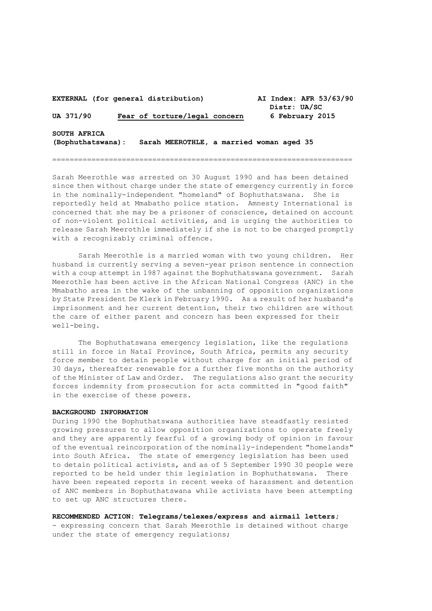| EXTERNAL (for general distribution) |  |  |                                          |  | AI Index: AFR 53/63/90<br>Distr: UA/SC |  |  |                 |
|-------------------------------------|--|--|------------------------------------------|--|----------------------------------------|--|--|-----------------|
| UA 371/90                           |  |  | Fear of torture/legal concern            |  |                                        |  |  | 6 February 2015 |
| SOUTH AFRICA<br>(Bophuthatswana):   |  |  | Sarah MEEROTHLE, a married woman aged 35 |  |                                        |  |  |                 |

=====================================================================

Sarah Meerothle was arrested on 30 August 1990 and has been detained since then without charge under the state of emergency currently in force in the nominally-independent "homeland" of Bophuthatswana. She is reportedly held at Mmabatho police station. Amnesty International is concerned that she may be a prisoner of conscience, detained on account of non-violent political activities, and is urging the authorities to release Sarah Meerothle immediately if she is not to be charged promptly with a recognizably criminal offence.

Sarah Meerothle is a married woman with two young children. Her husband is currently serving a seven-year prison sentence in connection with a coup attempt in 1987 against the Bophuthatswana government. Sarah Meerothle has been active in the African National Congress (ANC) in the Mmabatho area in the wake of the unbanning of opposition organizations by State President De Klerk in February 1990. As a result of her husband's imprisonment and her current detention, their two children are without the care of either parent and concern has been expressed for their well-being.

The Bophuthatswana emergency legislation, like the regulations still in force in Natal Province, South Africa, permits any security force member to detain people without charge for an initial period of 30 days, thereafter renewable for a further five months on the authority of the Minister of Law and Order. The regulations also grant the security forces indemnity from prosecution for acts committed in "good faith" in the exercise of these powers.

## **BACKGROUND INFORMATION**

During 1990 the Bophuthatswana authorities have steadfastly resisted growing pressures to allow opposition organizations to operate freely and they are apparently fearful of a growing body of opinion in favour of the eventual reincorporation of the nominally-independent "homelands" into South Africa. The state of emergency legislation has been used to detain political activists, and as of 5 September 1990 30 people were reported to be held under this legislation in Bophuthatswana. There have been repeated reports in recent weeks of harassment and detention of ANC members in Bophuthatswana while activists have been attempting to set up ANC structures there.

**RECOMMENDED ACTION: Telegrams/telexes/express and airmail letters;**

- expressing concern that Sarah Meerothle is detained without charge under the state of emergency regulations;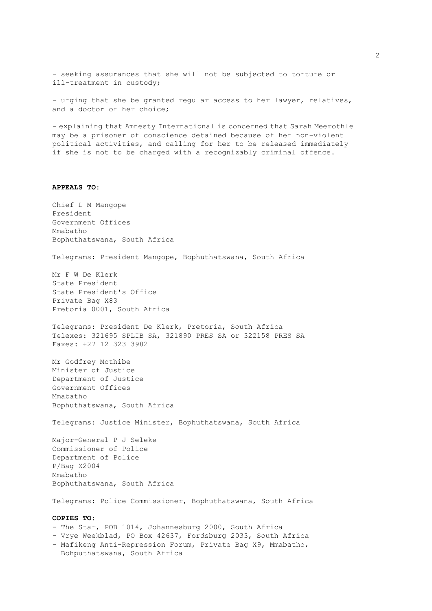- seeking assurances that she will not be subjected to torture or ill-treatment in custody;

- urging that she be granted regular access to her lawyer, relatives, and a doctor of her choice;

- explaining that Amnesty International is concerned that Sarah Meerothle may be a prisoner of conscience detained because of her non-violent political activities, and calling for her to be released immediately if she is not to be charged with a recognizably criminal offence.

## **APPEALS TO**:

Chief L M Mangope President Government Offices Mmabatho Bophuthatswana, South Africa Telegrams: President Mangope, Bophuthatswana, South Africa Mr F W De Klerk State President State President's Office Private Bag X83 Pretoria 0001, South Africa Telegrams: President De Klerk, Pretoria, South Africa Telexes: 321695 SPLIB SA, 321890 PRES SA or 322158 PRES SA Faxes: +27 12 323 3982 Mr Godfrey Mothibe Minister of Justice Department of Justice Government Offices Mmabatho Bophuthatswana, South Africa Telegrams: Justice Minister, Bophuthatswana, South Africa Major-General P J Seleke Commissioner of Police Department of Police P/Bag X2004 Mmabatho Bophuthatswana, South Africa Telegrams: Police Commissioner, Bophuthatswana, South Africa **COPIES TO:** - The Star, POB 1014, Johannesburg 2000, South Africa - Vrye Weekblad, PO Box 42637, Fordsburg 2033, South Africa

- Mafikeng Anti-Repression Forum, Private Bag X9, Mmabatho,
- Bohputhatswana, South Africa